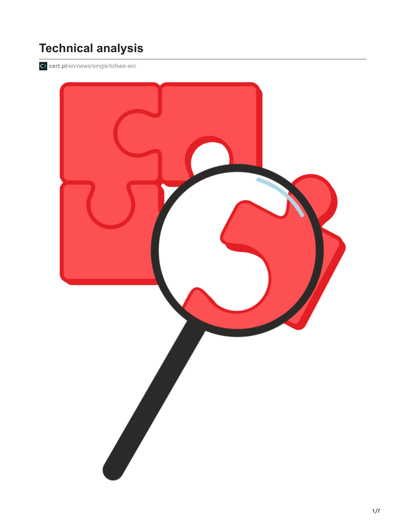# **Technical analysis**

**cert.pl**[/en/news/single/tofsee-en/](https://www.cert.pl/en/news/single/tofsee-en/)

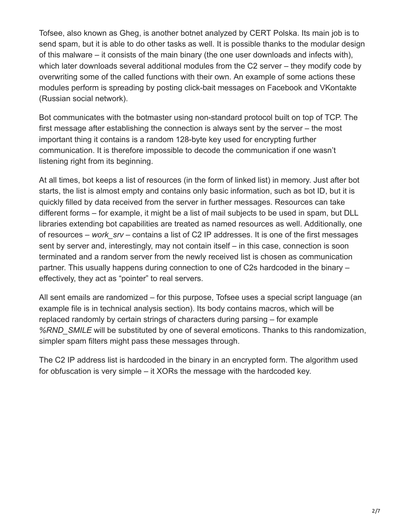Tofsee, also known as Gheg, is another botnet analyzed by CERT Polska. Its main job is to send spam, but it is able to do other tasks as well. It is possible thanks to the modular design of this malware – it consists of the main binary (the one user downloads and infects with), which later downloads several additional modules from the C2 server – they modify code by overwriting some of the called functions with their own. An example of some actions these modules perform is spreading by posting click-bait messages on Facebook and VKontakte (Russian social network).

Bot communicates with the botmaster using non-standard protocol built on top of TCP. The first message after establishing the connection is always sent by the server – the most important thing it contains is a random 128-byte key used for encrypting further communication. It is therefore impossible to decode the communication if one wasn't listening right from its beginning.

At all times, bot keeps a list of resources (in the form of linked list) in memory. Just after bot starts, the list is almost empty and contains only basic information, such as bot ID, but it is quickly filled by data received from the server in further messages. Resources can take different forms – for example, it might be a list of mail subjects to be used in spam, but DLL libraries extending bot capabilities are treated as named resources as well. Additionally, one of resources – *work\_srv* – contains a list of C2 IP addresses. It is one of the first messages sent by server and, interestingly, may not contain itself – in this case, connection is soon terminated and a random server from the newly received list is chosen as communication partner. This usually happens during connection to one of C2s hardcoded in the binary – effectively, they act as "pointer" to real servers.

All sent emails are randomized – for this purpose, Tofsee uses a special script language (an example file is in technical analysis section). Its body contains macros, which will be replaced randomly by certain strings of characters during parsing – for example *%RND\_SMILE* will be substituted by one of several emoticons. Thanks to this randomization, simpler spam filters might pass these messages through.

The C2 IP address list is hardcoded in the binary in an encrypted form. The algorithm used for obfuscation is very simple – it XORs the message with the hardcoded key.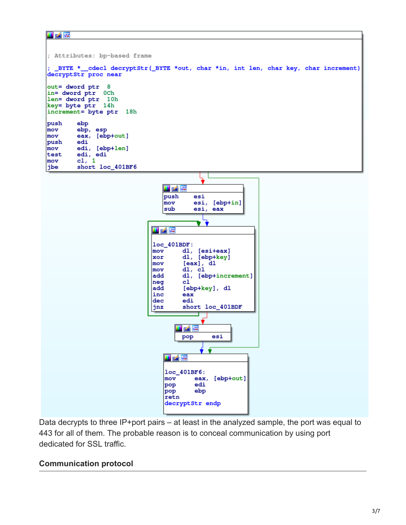#### i zie



Data decrypts to three IP+port pairs – at least in the analyzed sample, the port was equal to 443 for all of them. The probable reason is to conceal communication by using port dedicated for SSL traffic.

### **Communication protocol**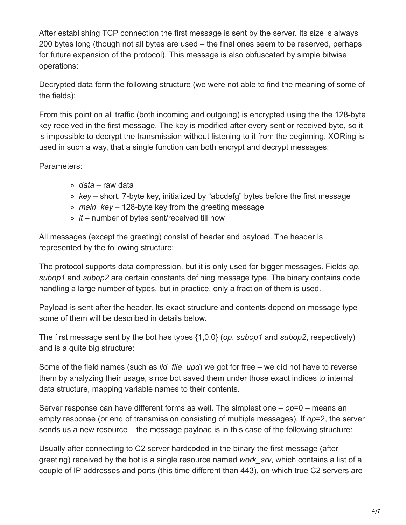After establishing TCP connection the first message is sent by the server. Its size is always 200 bytes long (though not all bytes are used – the final ones seem to be reserved, perhaps for future expansion of the protocol). This message is also obfuscated by simple bitwise operations:

Decrypted data form the following structure (we were not able to find the meaning of some of the fields):

From this point on all traffic (both incoming and outgoing) is encrypted using the the 128-byte key received in the first message. The key is modified after every sent or received byte, so it is impossible to decrypt the transmission without listening to it from the beginning. XORing is used in such a way, that a single function can both encrypt and decrypt messages:

Parameters:

- *data* raw data
- *key* short, 7-byte key, initialized by "abcdefg" bytes before the first message
- *main\_key* 128-byte key from the greeting message
- *it* number of bytes sent/received till now

All messages (except the greeting) consist of header and payload. The header is represented by the following structure:

The protocol supports data compression, but it is only used for bigger messages. Fields *op*, *subop1* and *subop2* are certain constants defining message type. The binary contains code handling a large number of types, but in practice, only a fraction of them is used.

Payload is sent after the header. Its exact structure and contents depend on message type – some of them will be described in details below.

The first message sent by the bot has types {1,0,0} (*op*, *subop1* and *subop2*, respectively) and is a quite big structure:

Some of the field names (such as *lid\_file\_upd*) we got for free – we did not have to reverse them by analyzing their usage, since bot saved them under those exact indices to internal data structure, mapping variable names to their contents.

Server response can have different forms as well. The simplest one – *op*=0 – means an empty response (or end of transmission consisting of multiple messages). If *op*=2, the server sends us a new resource – the message payload is in this case of the following structure:

Usually after connecting to C2 server hardcoded in the binary the first message (after greeting) received by the bot is a single resource named *work\_srv*, which contains a list of a couple of IP addresses and ports (this time different than 443), on which true C2 servers are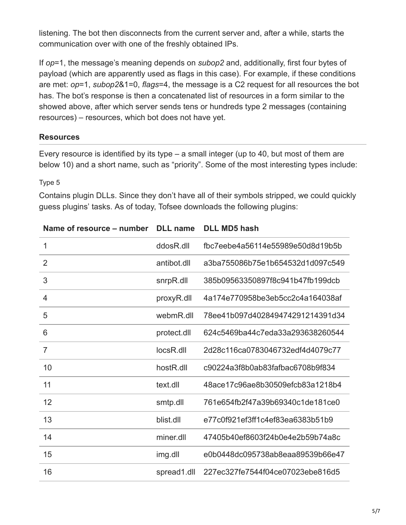listening. The bot then disconnects from the current server and, after a while, starts the communication over with one of the freshly obtained IPs.

If *op*=1, the message's meaning depends on *subop2* and, additionally, first four bytes of payload (which are apparently used as flags in this case). For example, if these conditions are met: *op*=1, *subop2*&1=0, *flags*=4, the message is a C2 request for all resources the bot has. The bot's response is then a concatenated list of resources in a form similar to the showed above, after which server sends tens or hundreds type 2 messages (containing resources) – resources, which bot does not have yet.

### **Resources**

Every resource is identified by its type – a small integer (up to 40, but most of them are below 10) and a short name, such as "priority". Some of the most interesting types include:

#### Type 5

Contains plugin DLLs. Since they don't have all of their symbols stripped, we could quickly guess plugins' tasks. As of today, Tofsee downloads the following plugins:

| Name of resource – number | <b>DLL</b> name       | <b>DLL MD5 hash</b>              |
|---------------------------|-----------------------|----------------------------------|
| 1                         | ddosR.dll             | fbc7eebe4a56114e55989e50d8d19b5b |
| 2                         | antibot.dll           | a3ba755086b75e1b654532d1d097c549 |
| 3                         | snrpR.dll             | 385b09563350897f8c941b47fb199dcb |
| 4                         | proxyR.dll            | 4a174e770958be3eb5cc2c4a164038af |
| 5                         | webmR.dll             | 78ee41b097d402849474291214391d34 |
| 6                         | protect.dll           | 624c5469ba44c7eda33a293638260544 |
| $\overline{7}$            | locsR.dll             | 2d28c116ca0783046732edf4d4079c77 |
| 10                        | host <sub>R.dll</sub> | c90224a3f8b0ab83fafbac6708b9f834 |
| 11                        | text.dll              | 48ace17c96ae8b30509efcb83a1218b4 |
| 12                        | smtp.dll              | 761e654fb2f47a39b69340c1de181ce0 |
| 13                        | blist.dll             | e77c0f921ef3ff1c4ef83ea6383b51b9 |
| 14                        | miner.dll             | 47405b40ef8603f24b0e4e2b59b74a8c |
| 15                        | img.dll               | e0b0448dc095738ab8eaa89539b66e47 |
| 16                        | spread1.dll           | 227ec327fe7544f04ce07023ebe816d5 |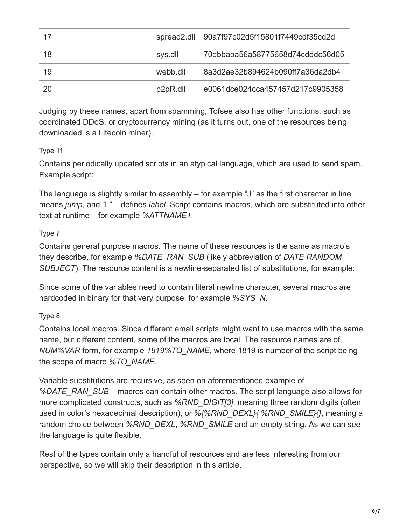| 17  |          | spread2.dll 90a7f97c02d5f15801f7449cdf35cd2d |
|-----|----------|----------------------------------------------|
| 18  | sys.dll  | 70dbbaba56a58775658d74cdddc56d05             |
| 19  | webb.dll | 8a3d2ae32b894624b090ff7a36da2db4             |
| -20 | p2pR.dll | e0061dce024cca457457d217c9905358             |

Judging by these names, apart from spamming, Tofsee also has other functions, such as coordinated DDoS, or cryptocurrency mining (as it turns out, one of the resources being downloaded is a Litecoin miner).

## Type 11

Contains periodically updated scripts in an atypical language, which are used to send spam. Example script:

The language is slightly similar to assembly – for example "J" as the first character in line means *jump*, and "L" – defines *label*. Script contains macros, which are substituted into other text at runtime – for example *%ATTNAME1*.

## Type 7

Contains general purpose macros. The name of these resources is the same as macro's they describe, for example *%DATE\_RAN\_SUB* (likely abbreviation of *DATE RANDOM SUBJECT*). The resource content is a newline-separated list of substitutions, for example:

Since some of the variables need to contain literal newline character, several macros are hardcoded in binary for that very purpose, for example *%SYS\_N*.

## Type 8

Contains local macros. Since different email scripts might want to use macros with the same name, but different content, some of the macros are local. The resource names are of *NUM%VAR* form, for example *1819%TO\_NAME*, where 1819 is number of the script being the scope of macro *%TO\_NAME*.

Variable substitutions are recursive, as seen on aforementioned example of *%DATE\_RAN\_SUB* – macros can contain other macros. The script language also allows for more complicated constructs, such as *%RND\_DIGIT[3]*, meaning three random digits (often used in color's hexadecimal description), or *%{%RND\_DEXL}{ %RND\_SMILE}{}*, meaning a random choice between *%RND\_DEXL*, *%RND\_SMILE* and an empty string. As we can see the language is quite flexible.

Rest of the types contain only a handful of resources and are less interesting from our perspective, so we will skip their description in this article.